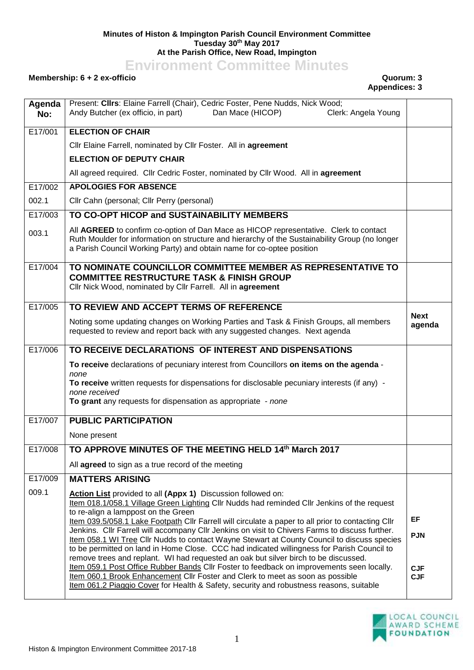## **Minutes of Histon & Impington Parish Council Environment Committee Tuesday 30th May 2017 At the Parish Office, New Road, Impington**

**Environment Committee Minutes**

## **Membership: 6 + 2 ex-officio Quorum: 3**

## **Appendices: 3**

| Agenda<br>No: | Present: Clirs: Elaine Farrell (Chair), Cedric Foster, Pene Nudds, Nick Wood;<br>Andy Butcher (ex officio, in part)<br>Dan Mace (HICOP)<br>Clerk: Angela Young                                                                                                         |                          |
|---------------|------------------------------------------------------------------------------------------------------------------------------------------------------------------------------------------------------------------------------------------------------------------------|--------------------------|
| E17/001       | <b>ELECTION OF CHAIR</b>                                                                                                                                                                                                                                               |                          |
|               | Cllr Elaine Farrell, nominated by Cllr Foster. All in agreement                                                                                                                                                                                                        |                          |
|               | <b>ELECTION OF DEPUTY CHAIR</b>                                                                                                                                                                                                                                        |                          |
|               | All agreed required. Cllr Cedric Foster, nominated by Cllr Wood. All in agreement                                                                                                                                                                                      |                          |
| E17/002       | <b>APOLOGIES FOR ABSENCE</b>                                                                                                                                                                                                                                           |                          |
| 002.1         | Cllr Cahn (personal; Cllr Perry (personal)                                                                                                                                                                                                                             |                          |
| E17/003       | TO CO-OPT HICOP and SUSTAINABILITY MEMBERS                                                                                                                                                                                                                             |                          |
| 003.1         | All AGREED to confirm co-option of Dan Mace as HICOP representative. Clerk to contact<br>Ruth Moulder for information on structure and hierarchy of the Sustainability Group (no longer<br>a Parish Council Working Party) and obtain name for co-optee position       |                          |
| E17/004       | TO NOMINATE COUNCILLOR COMMITTEE MEMBER AS REPRESENTATIVE TO<br><b>COMMITTEE RESTRUCTURE TASK &amp; FINISH GROUP</b><br>Cllr Nick Wood, nominated by Cllr Farrell. All in agreement                                                                                    |                          |
| E17/005       | TO REVIEW AND ACCEPT TERMS OF REFERENCE                                                                                                                                                                                                                                |                          |
|               | Noting some updating changes on Working Parties and Task & Finish Groups, all members<br>requested to review and report back with any suggested changes. Next agenda                                                                                                   | <b>Next</b><br>agenda    |
| E17/006       | TO RECEIVE DECLARATIONS OF INTEREST AND DISPENSATIONS                                                                                                                                                                                                                  |                          |
|               | To receive declarations of pecuniary interest from Councillors on items on the agenda -                                                                                                                                                                                |                          |
|               | none                                                                                                                                                                                                                                                                   |                          |
|               |                                                                                                                                                                                                                                                                        |                          |
|               | To receive written requests for dispensations for disclosable pecuniary interests (if any) -<br>none received                                                                                                                                                          |                          |
|               | To grant any requests for dispensation as appropriate - none                                                                                                                                                                                                           |                          |
| E17/007       | <b>PUBLIC PARTICIPATION</b>                                                                                                                                                                                                                                            |                          |
|               | None present                                                                                                                                                                                                                                                           |                          |
| E17/008       | TO APPROVE MINUTES OF THE MEETING HELD 14th March 2017                                                                                                                                                                                                                 |                          |
|               | All agreed to sign as a true record of the meeting                                                                                                                                                                                                                     |                          |
| E17/009       | <b>MATTERS ARISING</b>                                                                                                                                                                                                                                                 |                          |
| 009.1         | Action List provided to all (Appx 1) Discussion followed on:                                                                                                                                                                                                           |                          |
|               | Item 018.1/058.1 Village Green Lighting Cllr Nudds had reminded Cllr Jenkins of the request                                                                                                                                                                            |                          |
|               | to re-align a lamppost on the Green<br>Item 039.5/058.1 Lake Footpath Cllr Farrell will circulate a paper to all prior to contacting Cllr                                                                                                                              | EF                       |
|               | Jenkins. Cllr Farrell will accompany Cllr Jenkins on visit to Chivers Farms to discuss further.                                                                                                                                                                        | <b>PJN</b>               |
|               | Item 058.1 WI Tree Cllr Nudds to contact Wayne Stewart at County Council to discuss species<br>to be permitted on land in Home Close. CCC had indicated willingness for Parish Council to                                                                              |                          |
|               | remove trees and replant. WI had requested an oak but silver birch to be discussed.                                                                                                                                                                                    |                          |
|               | Item 059.1 Post Office Rubber Bands Cllr Foster to feedback on improvements seen locally.<br>Item 060.1 Brook Enhancement Cllr Foster and Clerk to meet as soon as possible<br>Item 061.2 Piaggio Cover for Health & Safety, security and robustness reasons, suitable | <b>CJF</b><br><b>CJF</b> |

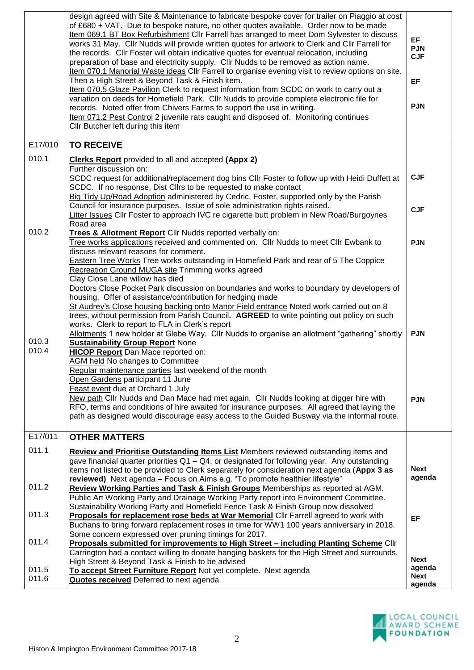|                         | design agreed with Site & Maintenance to fabricate bespoke cover for trailer on Piaggio at cost<br>of £680 + VAT. Due to bespoke nature, no other quotes available. Order now to be made<br>Item 069.1 BT Box Refurbishment Cllr Farrell has arranged to meet Dom Sylvester to discuss<br>works 31 May. Cllr Nudds will provide written quotes for artwork to Clerk and Cllr Farrell for<br>the records. Cllr Foster will obtain indicative quotes for eventual relocation, including<br>preparation of base and electricity supply. Cllr Nudds to be removed as action name.<br>Item 070.1 Manorial Waste ideas Cllr Farrell to organise evening visit to review options on site.<br>Then a High Street & Beyond Task & Finish item.<br>Item 070.5 Glaze Pavilion Clerk to request information from SCDC on work to carry out a<br>variation on deeds for Homefield Park. Cllr Nudds to provide complete electronic file for<br>records. Noted offer from Chivers Farms to support the use in writing.<br>Item 071.2 Pest Control 2 juvenile rats caught and disposed of. Monitoring continues<br>Cllr Butcher left during this item                                                                                                                                                                                                                                                                                                                   | <b>EF</b><br><b>PJN</b><br><b>CJF</b><br>EF<br><b>PJN</b> |
|-------------------------|---------------------------------------------------------------------------------------------------------------------------------------------------------------------------------------------------------------------------------------------------------------------------------------------------------------------------------------------------------------------------------------------------------------------------------------------------------------------------------------------------------------------------------------------------------------------------------------------------------------------------------------------------------------------------------------------------------------------------------------------------------------------------------------------------------------------------------------------------------------------------------------------------------------------------------------------------------------------------------------------------------------------------------------------------------------------------------------------------------------------------------------------------------------------------------------------------------------------------------------------------------------------------------------------------------------------------------------------------------------------------------------------------------------------------------------------------------|-----------------------------------------------------------|
| E17/010                 | <b>TO RECEIVE</b>                                                                                                                                                                                                                                                                                                                                                                                                                                                                                                                                                                                                                                                                                                                                                                                                                                                                                                                                                                                                                                                                                                                                                                                                                                                                                                                                                                                                                                       |                                                           |
| 010.1                   | <b>Clerks Report</b> provided to all and accepted (Appx 2)<br>Further discussion on:<br>SCDC request for additional/replacement dog bins ClIr Foster to follow up with Heidi Duffett at<br>SCDC. If no response, Dist Cllrs to be requested to make contact<br>Big Tidy Up/Road Adoption administered by Cedric, Foster, supported only by the Parish<br>Council for insurance purposes. Issue of sole administration rights raised.<br>Litter Issues Cllr Foster to approach IVC re cigarette butt problem in New Road/Burgoynes<br>Road area                                                                                                                                                                                                                                                                                                                                                                                                                                                                                                                                                                                                                                                                                                                                                                                                                                                                                                          | <b>CJF</b><br><b>CJF</b>                                  |
| 010.2<br>010.3<br>010.4 | Trees & Allotment Report Cllr Nudds reported verbally on:<br>Tree works applications received and commented on. Cllr Nudds to meet Cllr Ewbank to<br>discuss relevant reasons for comment.<br><b>Eastern Tree Works Tree works outstanding in Homefield Park and rear of 5 The Coppice</b><br><b>Recreation Ground MUGA site Trimming works agreed</b><br>Clay Close Lane willow has died<br>Doctors Close Pocket Park discussion on boundaries and works to boundary by developers of<br>housing. Offer of assistance/contribution for hedging made<br>St Audrey's Close housing backing onto Manor Field entrance Noted work carried out on 8<br>trees, without permission from Parish Council. AGREED to write pointing out policy on such<br>works. Clerk to report to FLA in Clerk's report<br>Allotments 1 new holder at Glebe Way. Cllr Nudds to organise an allotment "gathering" shortly<br><b>Sustainability Group Report None</b><br><b>HICOP Report</b> Dan Mace reported on:<br>AGM held No changes to Committee<br>Regular maintenance parties last weekend of the month<br>Open Gardens participant 11 June<br>Feast event due at Orchard 1 July<br>New path Cllr Nudds and Dan Mace had met again. Cllr Nudds looking at digger hire with<br>RFO, terms and conditions of hire awaited for insurance purposes. All agreed that laying the<br>path as designed would discourage easy access to the Guided Busway via the informal route. | <b>PJN</b><br><b>PJN</b><br><b>PJN</b>                    |
| E17/011                 | <b>OTHER MATTERS</b>                                                                                                                                                                                                                                                                                                                                                                                                                                                                                                                                                                                                                                                                                                                                                                                                                                                                                                                                                                                                                                                                                                                                                                                                                                                                                                                                                                                                                                    |                                                           |
| 011.1                   | <b>Review and Prioritise Outstanding Items List Members reviewed outstanding items and</b><br>gave financial quarter priorities $Q1 - Q4$ , or designated for following year. Any outstanding<br>items not listed to be provided to Clerk separately for consideration next agenda (Appx 3 as<br>reviewed) Next agenda - Focus on Aims e.g. "To promote healthier lifestyle"                                                                                                                                                                                                                                                                                                                                                                                                                                                                                                                                                                                                                                                                                                                                                                                                                                                                                                                                                                                                                                                                            | <b>Next</b><br>agenda                                     |
| 011.2                   | Review Working Parties and Task & Finish Groups Memberships as reported at AGM.<br>Public Art Working Party and Drainage Working Party report into Environment Committee.<br>Sustainability Working Party and Homefield Fence Task & Finish Group now dissolved                                                                                                                                                                                                                                                                                                                                                                                                                                                                                                                                                                                                                                                                                                                                                                                                                                                                                                                                                                                                                                                                                                                                                                                         |                                                           |
| 011.3<br>011.4          | Proposals for replacement rose beds at War Memorial Cllr Farrell agreed to work with<br>Buchans to bring forward replacement roses in time for WW1 100 years anniversary in 2018.<br>Some concern expressed over pruning timings for 2017.<br>Proposals submitted for improvements to High Street - including Planting Scheme Cllr                                                                                                                                                                                                                                                                                                                                                                                                                                                                                                                                                                                                                                                                                                                                                                                                                                                                                                                                                                                                                                                                                                                      | EF                                                        |
| 011.5<br>011.6          | Carrington had a contact willing to donate hanging baskets for the High Street and surrounds.<br>High Street & Beyond Task & Finish to be advised<br>To accept Street Furniture Report Not yet complete. Next agenda<br>Quotes received Deferred to next agenda                                                                                                                                                                                                                                                                                                                                                                                                                                                                                                                                                                                                                                                                                                                                                                                                                                                                                                                                                                                                                                                                                                                                                                                         | <b>Next</b><br>agenda<br><b>Next</b><br>agenda            |